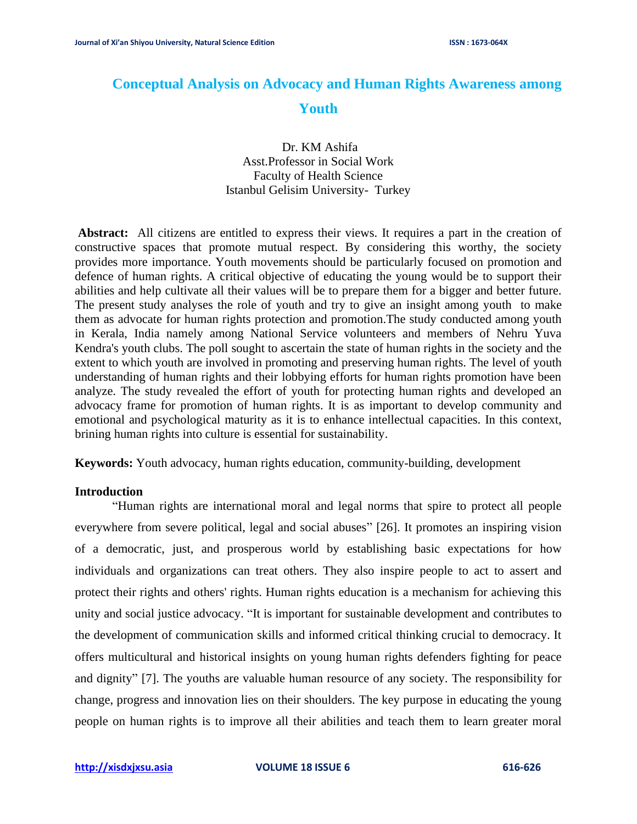# **Conceptual Analysis on Advocacy and Human Rights Awareness among Youth**

Dr. KM Ashifa Asst.Professor in Social Work Faculty of Health Science Istanbul Gelisim University- Turkey

**Abstract:** All citizens are entitled to express their views. It requires a part in the creation of constructive spaces that promote mutual respect. By considering this worthy, the society provides more importance. Youth movements should be particularly focused on promotion and defence of human rights. A critical objective of educating the young would be to support their abilities and help cultivate all their values will be to prepare them for a bigger and better future. The present study analyses the role of youth and try to give an insight among youth to make them as advocate for human rights protection and promotion.The study conducted among youth in Kerala, India namely among National Service volunteers and members of Nehru Yuva Kendra's youth clubs. The poll sought to ascertain the state of human rights in the society and the extent to which youth are involved in promoting and preserving human rights. The level of youth understanding of human rights and their lobbying efforts for human rights promotion have been analyze. The study revealed the effort of youth for protecting human rights and developed an advocacy frame for promotion of human rights. It is as important to develop community and emotional and psychological maturity as it is to enhance intellectual capacities. In this context, brining human rights into culture is essential for sustainability.

**Keywords:** Youth advocacy, human rights education, community-building, development

## **Introduction**

"Human rights are international moral and legal norms that spire to protect all people everywhere from severe political, legal and social abuses" [26]. It promotes an inspiring vision of a democratic, just, and prosperous world by establishing basic expectations for how individuals and organizations can treat others. They also inspire people to act to assert and protect their rights and others' rights. Human rights education is a mechanism for achieving this unity and social justice advocacy. "It is important for sustainable development and contributes to the development of communication skills and informed critical thinking crucial to democracy. It offers multicultural and historical insights on young human rights defenders fighting for peace and dignity" [7]. The youths are valuable human resource of any society. The responsibility for change, progress and innovation lies on their shoulders. The key purpose in educating the young people on human rights is to improve all their abilities and teach them to learn greater moral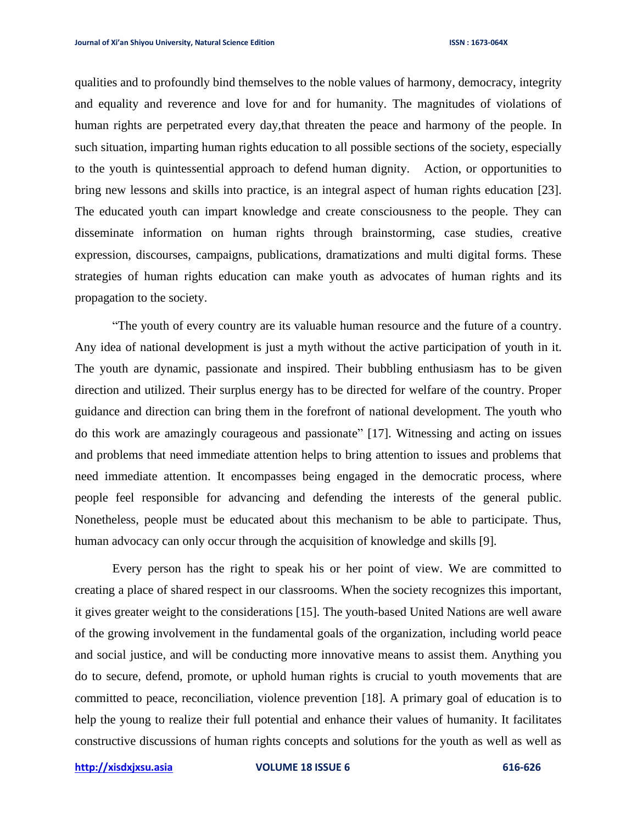qualities and to profoundly bind themselves to the noble values of harmony, democracy, integrity and equality and reverence and love for and for humanity. The magnitudes of violations of human rights are perpetrated every day,that threaten the peace and harmony of the people. In such situation, imparting human rights education to all possible sections of the society, especially to the youth is quintessential approach to defend human dignity. Action, or opportunities to bring new lessons and skills into practice, is an integral aspect of human rights education [23]. The educated youth can impart knowledge and create consciousness to the people. They can disseminate information on human rights through brainstorming, case studies, creative expression, discourses, campaigns, publications, dramatizations and multi digital forms. These strategies of human rights education can make youth as advocates of human rights and its propagation to the society.

"The youth of every country are its valuable human resource and the future of a country. Any idea of national development is just a myth without the active participation of youth in it. The youth are dynamic, passionate and inspired. Their bubbling enthusiasm has to be given direction and utilized. Their surplus energy has to be directed for welfare of the country. Proper guidance and direction can bring them in the forefront of national development. The youth who do this work are amazingly courageous and passionate" [17]. Witnessing and acting on issues and problems that need immediate attention helps to bring attention to issues and problems that need immediate attention. It encompasses being engaged in the democratic process, where people feel responsible for advancing and defending the interests of the general public. Nonetheless, people must be educated about this mechanism to be able to participate. Thus, human advocacy can only occur through the acquisition of knowledge and skills [9].

Every person has the right to speak his or her point of view. We are committed to creating a place of shared respect in our classrooms. When the society recognizes this important, it gives greater weight to the considerations [15]. The youth-based United Nations are well aware of the growing involvement in the fundamental goals of the organization, including world peace and social justice, and will be conducting more innovative means to assist them. Anything you do to secure, defend, promote, or uphold human rights is crucial to youth movements that are committed to peace, reconciliation, violence prevention [18]. A primary goal of education is to help the young to realize their full potential and enhance their values of humanity. It facilitates constructive discussions of human rights concepts and solutions for the youth as well as well as

**[http://xisdxjxsu.asia](http://xisdxjxsu.asia/) VOLUME 18 ISSUE 6 616-626**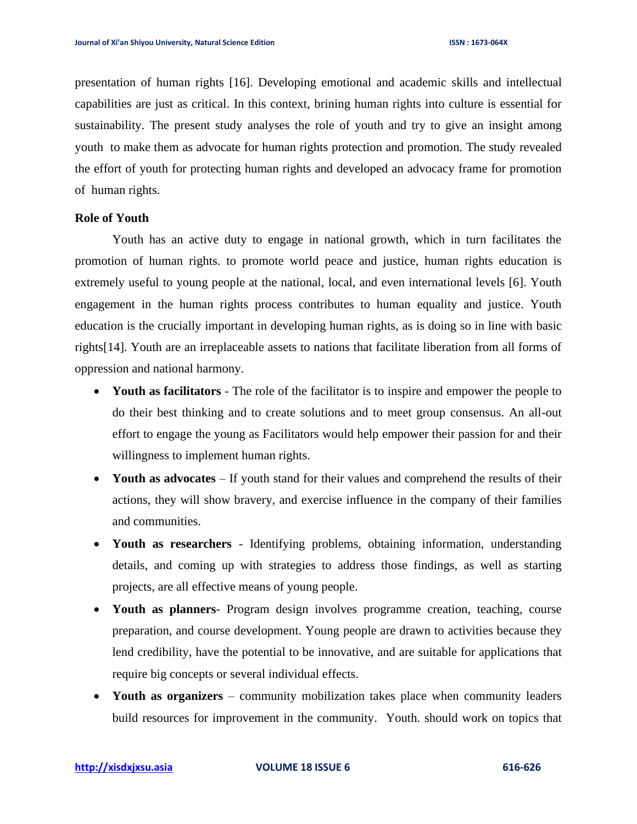presentation of human rights [16]. Developing emotional and academic skills and intellectual capabilities are just as critical. In this context, brining human rights into culture is essential for sustainability. The present study analyses the role of youth and try to give an insight among youth to make them as advocate for human rights protection and promotion. The study revealed the effort of youth for protecting human rights and developed an advocacy frame for promotion of human rights.

# **Role of Youth**

Youth has an active duty to engage in national growth, which in turn facilitates the promotion of human rights. to promote world peace and justice, human rights education is extremely useful to young people at the national, local, and even international levels [6]. Youth engagement in the human rights process contributes to human equality and justice. Youth education is the crucially important in developing human rights, as is doing so in line with basic rights[14]. Youth are an irreplaceable assets to nations that facilitate liberation from all forms of oppression and national harmony.

- **Youth as facilitators** The role of the facilitator is to inspire and empower the people to do their best thinking and to create solutions and to meet group consensus. An all-out effort to engage the young as Facilitators would help empower their passion for and their willingness to implement human rights.
- Youth as advocates If youth stand for their values and comprehend the results of their actions, they will show bravery, and exercise influence in the company of their families and communities.
- **Youth as researchers**  Identifying problems, obtaining information, understanding details, and coming up with strategies to address those findings, as well as starting projects, are all effective means of young people.
- **Youth as planners** Program design involves programme creation, teaching, course preparation, and course development. Young people are drawn to activities because they lend credibility, have the potential to be innovative, and are suitable for applications that require big concepts or several individual effects.
- **Youth as organizers** community mobilization takes place when community leaders build resources for improvement in the community. Youth. should work on topics that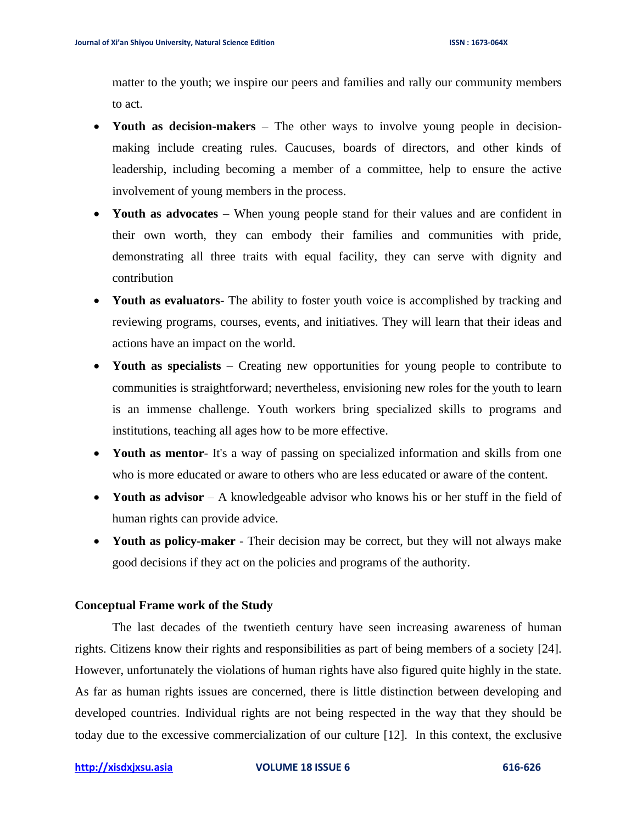matter to the youth; we inspire our peers and families and rally our community members to act.

- **Youth as decision-makers**  The other ways to involve young people in decisionmaking include creating rules. Caucuses, boards of directors, and other kinds of leadership, including becoming a member of a committee, help to ensure the active involvement of young members in the process.
- **Youth as advocates** When young people stand for their values and are confident in their own worth, they can embody their families and communities with pride, demonstrating all three traits with equal facility, they can serve with dignity and contribution
- **Youth as evaluators** The ability to foster youth voice is accomplished by tracking and reviewing programs, courses, events, and initiatives. They will learn that their ideas and actions have an impact on the world.
- Youth as specialists Creating new opportunities for young people to contribute to communities is straightforward; nevertheless, envisioning new roles for the youth to learn is an immense challenge. Youth workers bring specialized skills to programs and institutions, teaching all ages how to be more effective.
- **Youth as mentor** It's a way of passing on specialized information and skills from one who is more educated or aware to others who are less educated or aware of the content.
- **Youth as advisor** A knowledgeable advisor who knows his or her stuff in the field of human rights can provide advice.
- **Youth as policy-maker** Their decision may be correct, but they will not always make good decisions if they act on the policies and programs of the authority.

## **Conceptual Frame work of the Study**

The last decades of the twentieth century have seen increasing awareness of human rights. Citizens know their rights and responsibilities as part of being members of a society [24]. However, unfortunately the violations of human rights have also figured quite highly in the state. As far as human rights issues are concerned, there is little distinction between developing and developed countries. Individual rights are not being respected in the way that they should be today due to the excessive commercialization of our culture [12]. In this context, the exclusive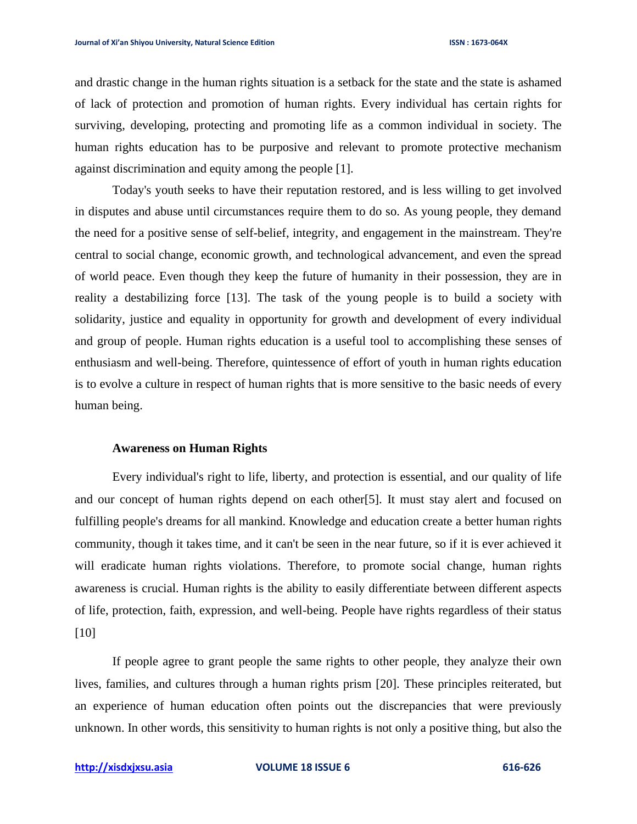and drastic change in the human rights situation is a setback for the state and the state is ashamed of lack of protection and promotion of human rights. Every individual has certain rights for surviving, developing, protecting and promoting life as a common individual in society. The human rights education has to be purposive and relevant to promote protective mechanism against discrimination and equity among the people [1].

Today's youth seeks to have their reputation restored, and is less willing to get involved in disputes and abuse until circumstances require them to do so. As young people, they demand the need for a positive sense of self-belief, integrity, and engagement in the mainstream. They're central to social change, economic growth, and technological advancement, and even the spread of world peace. Even though they keep the future of humanity in their possession, they are in reality a destabilizing force [13]. The task of the young people is to build a society with solidarity, justice and equality in opportunity for growth and development of every individual and group of people. Human rights education is a useful tool to accomplishing these senses of enthusiasm and well-being. Therefore, quintessence of effort of youth in human rights education is to evolve a culture in respect of human rights that is more sensitive to the basic needs of every human being.

## **Awareness on Human Rights**

Every individual's right to life, liberty, and protection is essential, and our quality of life and our concept of human rights depend on each other[5]. It must stay alert and focused on fulfilling people's dreams for all mankind. Knowledge and education create a better human rights community, though it takes time, and it can't be seen in the near future, so if it is ever achieved it will eradicate human rights violations. Therefore, to promote social change, human rights awareness is crucial. Human rights is the ability to easily differentiate between different aspects of life, protection, faith, expression, and well-being. People have rights regardless of their status [10]

If people agree to grant people the same rights to other people, they analyze their own lives, families, and cultures through a human rights prism [20]. These principles reiterated, but an experience of human education often points out the discrepancies that were previously unknown. In other words, this sensitivity to human rights is not only a positive thing, but also the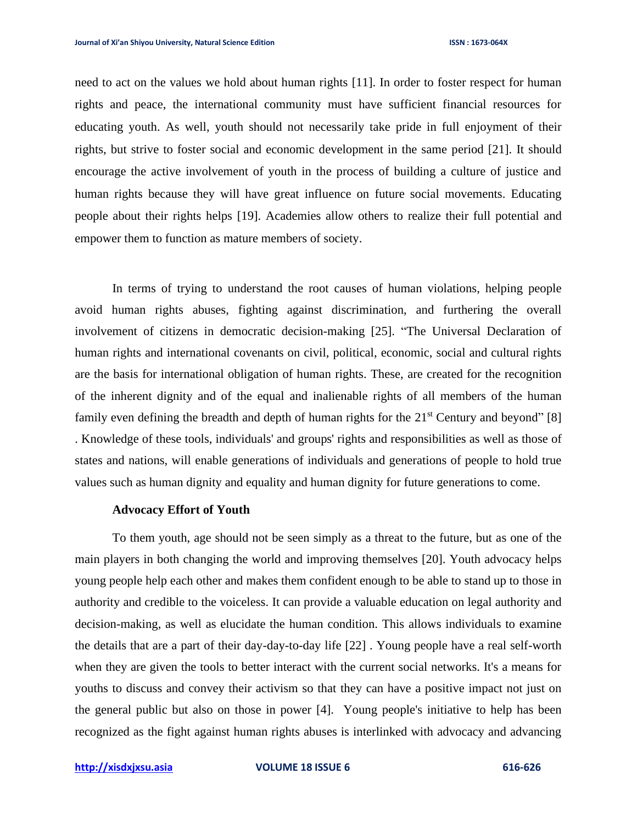need to act on the values we hold about human rights [11]. In order to foster respect for human rights and peace, the international community must have sufficient financial resources for educating youth. As well, youth should not necessarily take pride in full enjoyment of their rights, but strive to foster social and economic development in the same period [21]. It should encourage the active involvement of youth in the process of building a culture of justice and human rights because they will have great influence on future social movements. Educating people about their rights helps [19]. Academies allow others to realize their full potential and empower them to function as mature members of society.

In terms of trying to understand the root causes of human violations, helping people avoid human rights abuses, fighting against discrimination, and furthering the overall involvement of citizens in democratic decision-making [25]. "The Universal Declaration of human rights and international covenants on civil, political, economic, social and cultural rights are the basis for international obligation of human rights. These, are created for the recognition of the inherent dignity and of the equal and inalienable rights of all members of the human family even defining the breadth and depth of human rights for the  $21<sup>st</sup>$  Century and beyond" [8] . Knowledge of these tools, individuals' and groups' rights and responsibilities as well as those of states and nations, will enable generations of individuals and generations of people to hold true values such as human dignity and equality and human dignity for future generations to come.

## **Advocacy Effort of Youth**

To them youth, age should not be seen simply as a threat to the future, but as one of the main players in both changing the world and improving themselves [20]. Youth advocacy helps young people help each other and makes them confident enough to be able to stand up to those in authority and credible to the voiceless. It can provide a valuable education on legal authority and decision-making, as well as elucidate the human condition. This allows individuals to examine the details that are a part of their day-day-to-day life [22] . Young people have a real self-worth when they are given the tools to better interact with the current social networks. It's a means for youths to discuss and convey their activism so that they can have a positive impact not just on the general public but also on those in power [4]. Young people's initiative to help has been recognized as the fight against human rights abuses is interlinked with advocacy and advancing

**[http://xisdxjxsu.asia](http://xisdxjxsu.asia/) VOLUME 18 ISSUE 6 616-626**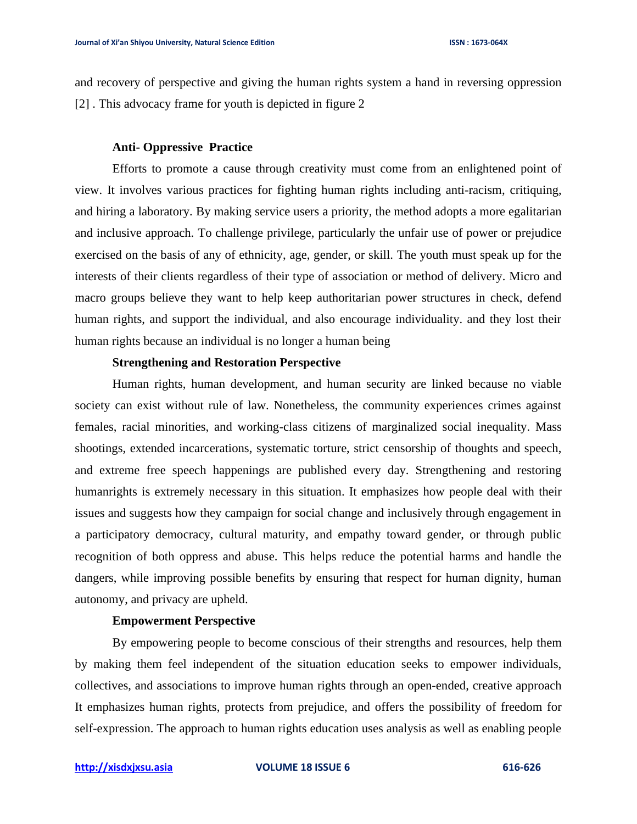and recovery of perspective and giving the human rights system a hand in reversing oppression [2] . This advocacy frame for youth is depicted in figure 2

#### **Anti- Oppressive Practice**

Efforts to promote a cause through creativity must come from an enlightened point of view. It involves various practices for fighting human rights including anti-racism, critiquing, and hiring a laboratory. By making service users a priority, the method adopts a more egalitarian and inclusive approach. To challenge privilege, particularly the unfair use of power or prejudice exercised on the basis of any of ethnicity, age, gender, or skill. The youth must speak up for the interests of their clients regardless of their type of association or method of delivery. Micro and macro groups believe they want to help keep authoritarian power structures in check, defend human rights, and support the individual, and also encourage individuality. and they lost their human rights because an individual is no longer a human being

# **Strengthening and Restoration Perspective**

Human rights, human development, and human security are linked because no viable society can exist without rule of law. Nonetheless, the community experiences crimes against females, racial minorities, and working-class citizens of marginalized social inequality. Mass shootings, extended incarcerations, systematic torture, strict censorship of thoughts and speech, and extreme free speech happenings are published every day. Strengthening and restoring humanrights is extremely necessary in this situation. It emphasizes how people deal with their issues and suggests how they campaign for social change and inclusively through engagement in a participatory democracy, cultural maturity, and empathy toward gender, or through public recognition of both oppress and abuse. This helps reduce the potential harms and handle the dangers, while improving possible benefits by ensuring that respect for human dignity, human autonomy, and privacy are upheld.

## **Empowerment Perspective**

By empowering people to become conscious of their strengths and resources, help them by making them feel independent of the situation education seeks to empower individuals, collectives, and associations to improve human rights through an open-ended, creative approach It emphasizes human rights, protects from prejudice, and offers the possibility of freedom for self-expression. The approach to human rights education uses analysis as well as enabling people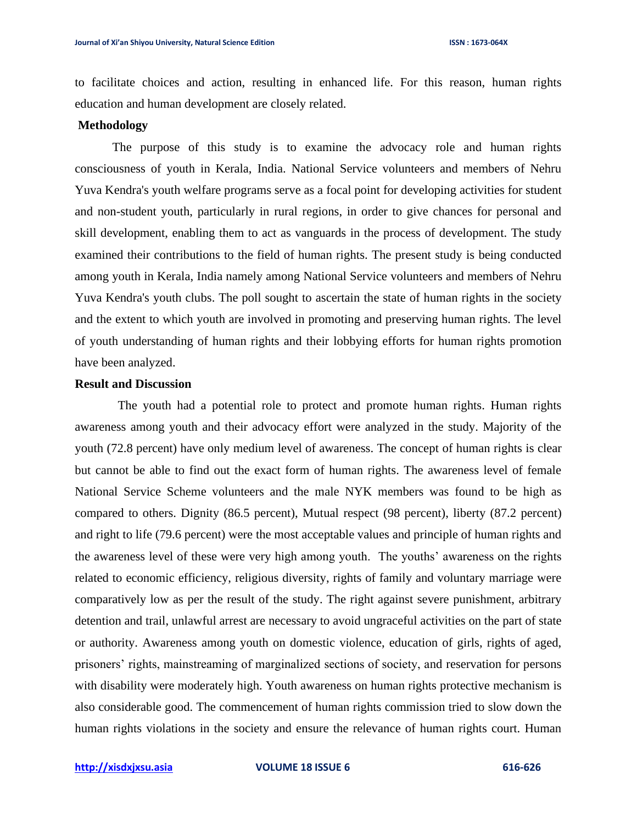to facilitate choices and action, resulting in enhanced life. For this reason, human rights education and human development are closely related.

# **Methodology**

The purpose of this study is to examine the advocacy role and human rights consciousness of youth in Kerala, India. National Service volunteers and members of Nehru Yuva Kendra's youth welfare programs serve as a focal point for developing activities for student and non-student youth, particularly in rural regions, in order to give chances for personal and skill development, enabling them to act as vanguards in the process of development. The study examined their contributions to the field of human rights. The present study is being conducted among youth in Kerala, India namely among National Service volunteers and members of Nehru Yuva Kendra's youth clubs. The poll sought to ascertain the state of human rights in the society and the extent to which youth are involved in promoting and preserving human rights. The level of youth understanding of human rights and their lobbying efforts for human rights promotion have been analyzed.

# **Result and Discussion**

The youth had a potential role to protect and promote human rights. Human rights awareness among youth and their advocacy effort were analyzed in the study. Majority of the youth (72.8 percent) have only medium level of awareness. The concept of human rights is clear but cannot be able to find out the exact form of human rights. The awareness level of female National Service Scheme volunteers and the male NYK members was found to be high as compared to others. Dignity (86.5 percent), Mutual respect (98 percent), liberty (87.2 percent) and right to life (79.6 percent) were the most acceptable values and principle of human rights and the awareness level of these were very high among youth. The youths' awareness on the rights related to economic efficiency, religious diversity, rights of family and voluntary marriage were comparatively low as per the result of the study. The right against severe punishment, arbitrary detention and trail, unlawful arrest are necessary to avoid ungraceful activities on the part of state or authority. Awareness among youth on domestic violence, education of girls, rights of aged, prisoners' rights, mainstreaming of marginalized sections of society, and reservation for persons with disability were moderately high. Youth awareness on human rights protective mechanism is also considerable good. The commencement of human rights commission tried to slow down the human rights violations in the society and ensure the relevance of human rights court. Human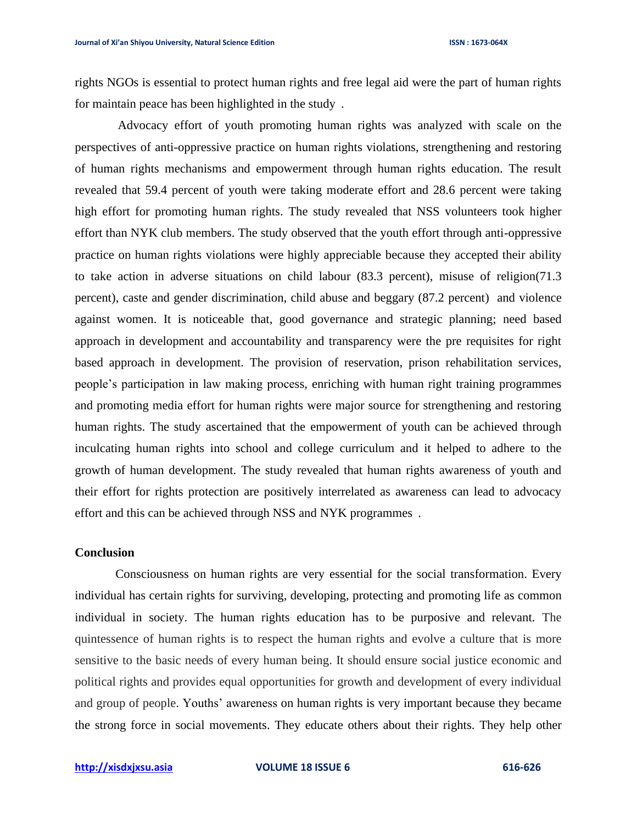rights NGOs is essential to protect human rights and free legal aid were the part of human rights for maintain peace has been highlighted in the study.

"Advocacy effort of youth promoting human rights was analyzed with scale on the perspectives of anti-oppressive practice on human rights violations, strengthening and restoring of human rights mechanisms and empowerment through human rights education. The result revealed that 59.4 percent of youth were taking moderate effort and 28.6 percent were taking high effort for promoting human rights. The study revealed that NSS volunteers took higher effort than NYK club members. The study observed that the youth effort through anti-oppressive practice on human rights violations were highly appreciable because they accepted their ability to take action in adverse situations on child labour (83.3 percent), misuse of religion(71.3 percent), caste and gender discrimination, child abuse and beggary (87.2 percent) and violence against women. It is noticeable that, good governance and strategic planning; need based approach in development and accountability and transparency were the pre requisites for right based approach in development. The provision of reservation, prison rehabilitation services, people's participation in law making process, enriching with human right training programmes and promoting media effort for human rights were major source for strengthening and restoring human rights. The study ascertained that the empowerment of youth can be achieved through inculcating human rights into school and college curriculum and it helped to adhere to the growth of human development. The study revealed that human rights awareness of youth and their effort for rights protection are positively interrelated as awareness can lead to advocacy effort and this can be achieved through NSS and NYK programmes.

#### **Conclusion**

Consciousness on human rights are very essential for the social transformation. Every individual has certain rights for surviving, developing, protecting and promoting life as common individual in society. The human rights education has to be purposive and relevant. The quintessence of human rights is to respect the human rights and evolve a culture that is more sensitive to the basic needs of every human being. It should ensure social justice economic and political rights and provides equal opportunities for growth and development of every individual and group of people. Youths' awareness on human rights is very important because they became the strong force in social movements. They educate others about their rights. They help other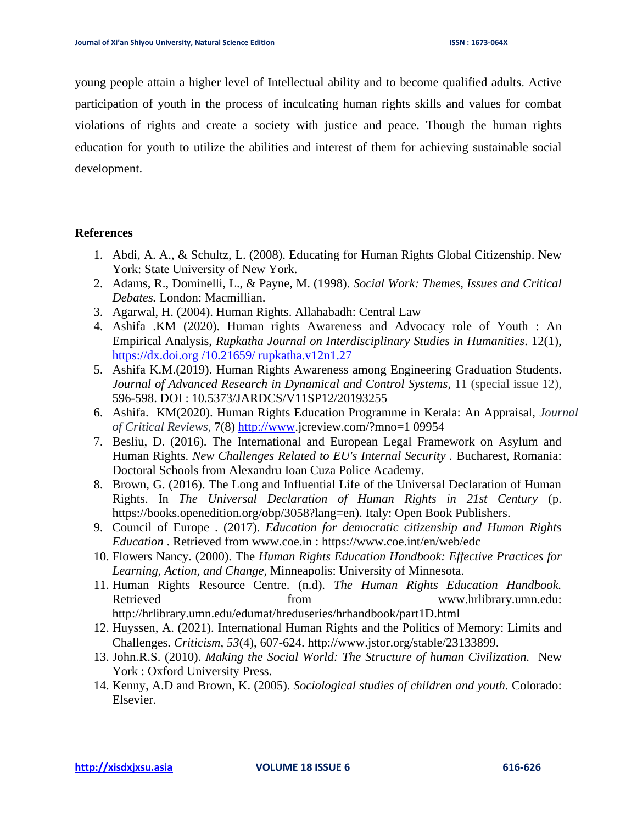young people attain a higher level of Intellectual ability and to become qualified adults. Active participation of youth in the process of inculcating human rights skills and values for combat violations of rights and create a society with justice and peace. Though the human rights education for youth to utilize the abilities and interest of them for achieving sustainable social development.

# **References**

- 1. Abdi, A. A., & Schultz, L. (2008). Educating for Human Rights Global Citizenship. New York: State University of New York.
- 2. Adams, R., Dominelli, L., & Payne, M. (1998). *Social Work: Themes, Issues and Critical Debates.* London: Macmillian.
- 3. Agarwal, H. (2004). Human Rights. Allahabadh: Central Law
- 4. Ashifa .KM (2020). Human rights Awareness and Advocacy role of Youth : An Empirical Analysis, *Rupkatha Journal on Interdisciplinary Studies in Humanities*. 12(1), https://dx.doi.org /10.21659/ rupkatha.v12n1.27
- 5. Ashifa K.M.(2019). Human Rights Awareness among Engineering Graduation Students. *Journal of Advanced Research in Dynamical and Control Systems*, 11 (special issue 12), 596-598. DOI : 10.5373/JARDCS/V11SP12/20193255
- 6. Ashifa. KM(2020). Human Rights Education Programme in Kerala: An Appraisal, *Journal of Critical Reviews*, 7(8) [http://www.](http://www/)jcreview.com/?mno=1 09954
- 7. Besliu, D. (2016). The International and European Legal Framework on Asylum and Human Rights. *New Challenges Related to EU's Internal Security .* Bucharest, Romania: Doctoral Schools from Alexandru Ioan Cuza Police Academy.
- 8. Brown, G. (2016). The Long and Influential Life of the Universal Declaration of Human Rights. In *The Universal Declaration of Human Rights in 21st Century* (p. https://books.openedition.org/obp/3058?lang=en). Italy: Open Book Publishers.
- 9. Council of Europe . (2017). *Education for democratic citizenship and Human Rights Education* . Retrieved from www.coe.in : https://www.coe.int/en/web/edc
- 10. Flowers Nancy. (2000). The *Human Rights Education Handbook: Effective Practices for Learning, Action, and Change,* Minneapolis: University of Minnesota.
- 11. Human Rights Resource Centre. (n.d). *The Human Rights Education Handbook.* Retrieved **from** from www.hrlibrary.umn.edu: http://hrlibrary.umn.edu/edumat/hreduseries/hrhandbook/part1D.html
- 12. Huyssen, A. (2021). International Human Rights and the Politics of Memory: Limits and Challenges. *Criticism, 53*(4), 607-624. http://www.jstor.org/stable/23133899.
- 13. John.R.S. (2010). *Making the Social World: The Structure of human Civilization.* New York : Oxford University Press.
- 14. Kenny, A.D and Brown, K. (2005). *Sociological studies of children and youth.* Colorado: Elsevier.